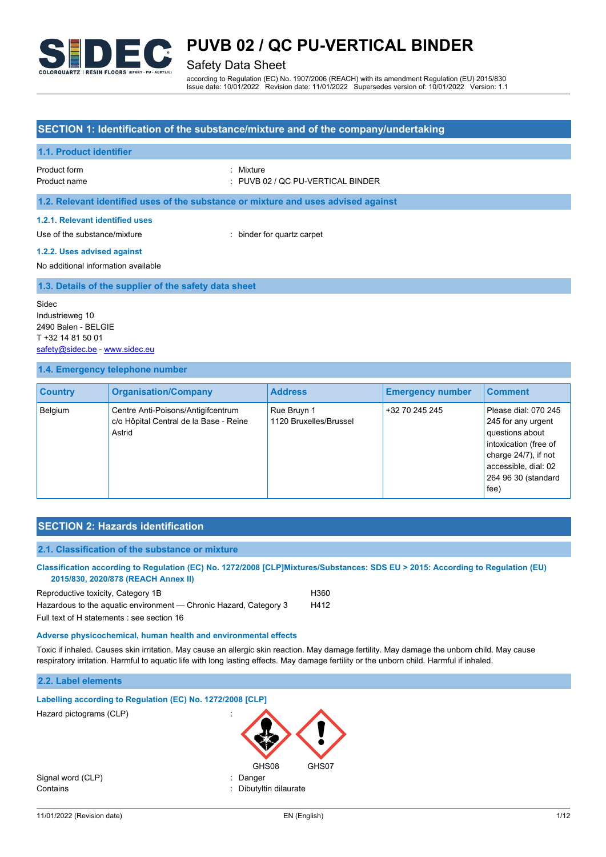

# Safety Data Sheet

according to Regulation (EC) No. 1907/2006 (REACH) with its amendment Regulation (EU) 2015/830 Issue date: 10/01/2022 Revision date: 11/01/2022 Supersedes version of: 10/01/2022 Version: 1.1

# **SECTION 1: Identification of the substance/mixture and of the company/undertaking**

## **1.1. Product identifier**

Product form : Nixture : Nixture : Nixture : Nixture : Nixture : Nixture : Nixture : Nixture : Nixture : Nixture : Nixture : Nixture : Nixture : Nixture : Nixture : Nixture : Nixture : Nixture : Nixture : Nixture : Nixture

Product name : PUVB 02 / QC PU-VERTICAL BINDER

**1.2. Relevant identified uses of the substance or mixture and uses advised against**

#### **1.2.1. Relevant identified uses**

Use of the substance/mixture in the substance/mixture in the substance of the substance of the substance of the substance of the substance of the substance/mixture in the substance of the substance of the substance of the

### **1.2.2. Uses advised against**

No additional information available

### **1.3. Details of the supplier of the safety data sheet**

Sidec Industrieweg 10 2490 Balen - BELGIE T +32 14 81 50 01 [safety@sidec.be](mailto:safety@sidec.be) - [www.sidec.eu](http://www.sidec.eu/)

#### **1.4. Emergency telephone number**

| <b>Country</b> | <b>Organisation/Company</b>                                                            | <b>Address</b>                        | <b>Emergency number</b> | <b>Comment</b>                                                                                                                                                           |
|----------------|----------------------------------------------------------------------------------------|---------------------------------------|-------------------------|--------------------------------------------------------------------------------------------------------------------------------------------------------------------------|
| Belgium        | Centre Anti-Poisons/Antigifcentrum<br>c/o Hôpital Central de la Base - Reine<br>Astrid | Rue Bruyn 1<br>1120 Bruxelles/Brussel | +32 70 245 245          | Please dial: 070 245<br>245 for any urgent<br>questions about<br>intoxication (free of<br>charge $24/7$ ), if not<br>accessible, dial: 02<br>264 96 30 (standard<br>fee) |

# **SECTION 2: Hazards identification**

#### **2.1. Classification of the substance or mixture**

**Classification according to Regulation (EC) No. 1272/2008 [CLP]Mixtures/Substances: SDS EU > 2015: According to Regulation (EU) 2015/830, 2020/878 (REACH Annex II)**

| Reproductive toxicity, Category 1B                                | H360 |
|-------------------------------------------------------------------|------|
| Hazardous to the aquatic environment — Chronic Hazard, Category 3 | H412 |
| _                                                                 |      |

Full text of H statements : see section 16

#### **Adverse physicochemical, human health and environmental effects**

Toxic if inhaled. Causes skin irritation. May cause an allergic skin reaction. May damage fertility. May damage the unborn child. May cause respiratory irritation. Harmful to aquatic life with long lasting effects. May damage fertility or the unborn child. Harmful if inhaled.

### **2.2. Label elements**

| Labelling according to Regulation (EC) No. 1272/2008 [CLP] |                                                     |  |
|------------------------------------------------------------|-----------------------------------------------------|--|
| Hazard pictograms (CLP)                                    | $\bullet$<br>$\ddot{\phantom{a}}$<br>GHS08<br>GHS07 |  |
| Signal word (CLP)                                          | Danger<br>÷                                         |  |
| Contains                                                   | : Dibutyltin dilaurate                              |  |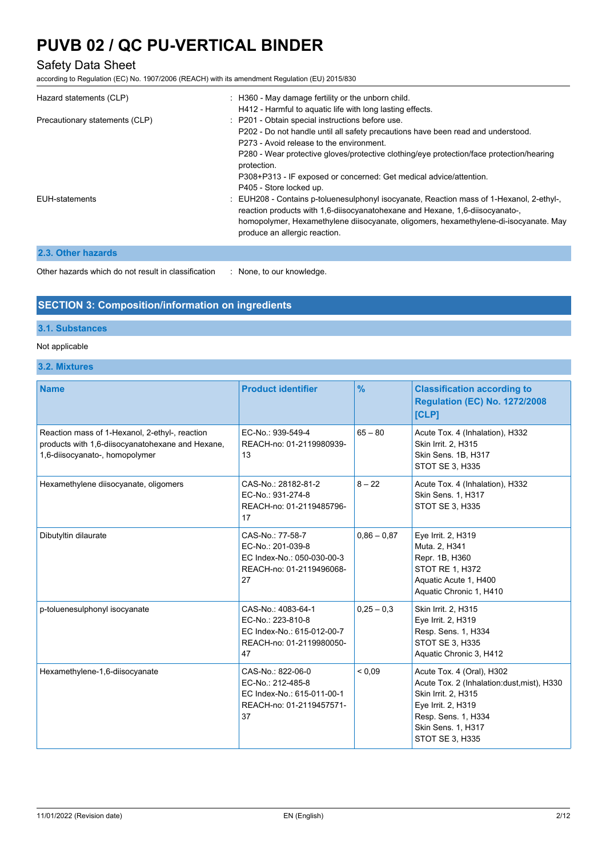# Safety Data Sheet

according to Regulation (EC) No. 1907/2006 (REACH) with its amendment Regulation (EU) 2015/830

| Hazard statements (CLP)        | : H360 - May damage fertility or the unborn child.<br>H412 - Harmful to aquatic life with long lasting effects.                                                                                                                                                                                                                                                  |
|--------------------------------|------------------------------------------------------------------------------------------------------------------------------------------------------------------------------------------------------------------------------------------------------------------------------------------------------------------------------------------------------------------|
| Precautionary statements (CLP) | : P201 - Obtain special instructions before use.<br>P202 - Do not handle until all safety precautions have been read and understood.<br>P273 - Avoid release to the environment<br>P280 - Wear protective gloves/protective clothing/eye protection/face protection/hearing<br>protection.<br>P308+P313 - IF exposed or concerned: Get medical advice/attention. |
|                                | P405 - Store locked up.                                                                                                                                                                                                                                                                                                                                          |
| <b>EUH-statements</b>          | : EUH208 - Contains p-toluenesulphonyl isocyanate, Reaction mass of 1-Hexanol, 2-ethyl-,<br>reaction products with 1,6-diisocyanatohexane and Hexane, 1,6-diisocyanato-,<br>homopolymer, Hexamethylene diisocyanate, oligomers, hexamethylene-di-isocyanate. May<br>produce an allergic reaction.                                                                |
| 2.3. Other hazards             |                                                                                                                                                                                                                                                                                                                                                                  |

Other hazards which do not result in classification : None, to our knowledge.

# **SECTION 3: Composition/information on ingredients**

## **3.1. Substances**

## Not applicable

**3.2. Mixtures**

| <b>Name</b>                                                                                                                          | <b>Product identifier</b>                                                                               | $\frac{9}{6}$ | <b>Classification according to</b><br><b>Regulation (EC) No. 1272/2008</b><br><b>[CLP]</b>                                                                                                  |
|--------------------------------------------------------------------------------------------------------------------------------------|---------------------------------------------------------------------------------------------------------|---------------|---------------------------------------------------------------------------------------------------------------------------------------------------------------------------------------------|
| Reaction mass of 1-Hexanol, 2-ethyl-, reaction<br>products with 1,6-diisocyanatohexane and Hexane,<br>1,6-diisocyanato-, homopolymer | EC-No.: 939-549-4<br>REACH-no: 01-2119980939-<br>13                                                     | $65 - 80$     | Acute Tox. 4 (Inhalation), H332<br>Skin Irrit. 2, H315<br>Skin Sens. 1B, H317<br><b>STOT SE 3, H335</b>                                                                                     |
| Hexamethylene diisocyanate, oligomers                                                                                                | CAS-No.: 28182-81-2<br>EC-No.: 931-274-8<br>REACH-no: 01-2119485796-<br>17                              | $8 - 22$      | Acute Tox. 4 (Inhalation), H332<br>Skin Sens. 1, H317<br><b>STOT SE 3, H335</b>                                                                                                             |
| Dibutyltin dilaurate                                                                                                                 | CAS-No.: 77-58-7<br>EC-No.: 201-039-8<br>EC Index-No.: 050-030-00-3<br>REACH-no: 01-2119496068-<br>27   | $0.86 - 0.87$ | Eye Irrit. 2, H319<br>Muta. 2, H341<br>Repr. 1B, H360<br><b>STOT RE 1, H372</b><br>Aquatic Acute 1, H400<br>Aquatic Chronic 1, H410                                                         |
| p-toluenesulphonyl isocyanate                                                                                                        | CAS-No.: 4083-64-1<br>EC-No.: 223-810-8<br>EC Index-No.: 615-012-00-7<br>REACH-no: 01-2119980050-<br>47 | $0,25 - 0,3$  | Skin Irrit. 2, H315<br>Eye Irrit. 2, H319<br>Resp. Sens. 1, H334<br><b>STOT SE 3, H335</b><br>Aquatic Chronic 3, H412                                                                       |
| Hexamethylene-1,6-diisocyanate                                                                                                       | CAS-No.: 822-06-0<br>EC-No.: 212-485-8<br>EC Index-No.: 615-011-00-1<br>REACH-no: 01-2119457571-<br>37  | ${}_{0.09}$   | Acute Tox. 4 (Oral), H302<br>Acute Tox. 2 (Inhalation:dust, mist), H330<br>Skin Irrit. 2, H315<br>Eye Irrit. 2, H319<br>Resp. Sens. 1, H334<br>Skin Sens. 1, H317<br><b>STOT SE 3, H335</b> |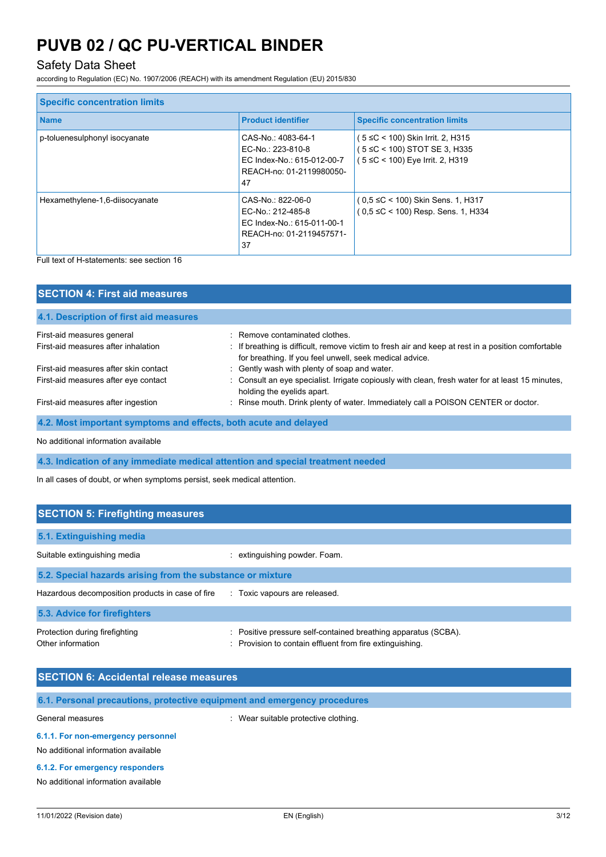# Safety Data Sheet

according to Regulation (EC) No. 1907/2006 (REACH) with its amendment Regulation (EU) 2015/830

| <b>Specific concentration limits</b> |                                                                                                         |                                                                                                      |
|--------------------------------------|---------------------------------------------------------------------------------------------------------|------------------------------------------------------------------------------------------------------|
| <b>Name</b>                          | <b>Product identifier</b>                                                                               | <b>Specific concentration limits</b>                                                                 |
| p-toluenesulphonyl isocyanate        | CAS-No.: 4083-64-1<br>EC-No.: 223-810-8<br>EC Index-No.: 615-012-00-7<br>REACH-no: 01-2119980050-<br>47 | ( 5 ≤C < 100) Skin Irrit. 2, H315<br>(5 ≤C < 100) STOT SE 3, H335<br>(5 ≤C < 100) Eye Irrit. 2, H319 |
| Hexamethylene-1,6-diisocyanate       | CAS-No.: 822-06-0<br>EC-No.: 212-485-8<br>EC Index-No.: 615-011-00-1<br>REACH-no: 01-2119457571-<br>37  | $(0.5 \leq C < 100)$ Skin Sens. 1, H317<br>(0,5 ≤C < 100) Resp. Sens. 1, H334                        |

Full text of H-statements: see section 16

| <b>SECTION 4: First aid measures</b>                             |                                                                                                                                                               |  |  |
|------------------------------------------------------------------|---------------------------------------------------------------------------------------------------------------------------------------------------------------|--|--|
| 4.1. Description of first aid measures                           |                                                                                                                                                               |  |  |
| First-aid measures general                                       | : Remove contaminated clothes.                                                                                                                                |  |  |
| First-aid measures after inhalation                              | : If breathing is difficult, remove victim to fresh air and keep at rest in a position comfortable<br>for breathing. If you feel unwell, seek medical advice. |  |  |
| First-aid measures after skin contact                            | : Gently wash with plenty of soap and water.                                                                                                                  |  |  |
| First-aid measures after eye contact                             | : Consult an eye specialist. Irrigate copiously with clean, fresh water for at least 15 minutes,<br>holding the eyelids apart.                                |  |  |
| First-aid measures after ingestion                               | : Rinse mouth. Drink plenty of water. Immediately call a POISON CENTER or doctor.                                                                             |  |  |
| 4.2. Most important symptoms and effects, both acute and delayed |                                                                                                                                                               |  |  |

No additional information available

# **4.3. Indication of any immediate medical attention and special treatment needed**

In all cases of doubt, or when symptoms persist, seek medical attention.

| <b>SECTION 5: Firefighting measures</b>                    |                                                                                                                            |  |  |
|------------------------------------------------------------|----------------------------------------------------------------------------------------------------------------------------|--|--|
| 5.1. Extinguishing media                                   |                                                                                                                            |  |  |
| Suitable extinguishing media                               | extinguishing powder. Foam.                                                                                                |  |  |
| 5.2. Special hazards arising from the substance or mixture |                                                                                                                            |  |  |
| Hazardous decomposition products in case of fire           | : Toxic vapours are released.                                                                                              |  |  |
| 5.3. Advice for firefighters                               |                                                                                                                            |  |  |
| Protection during firefighting<br>Other information        | : Positive pressure self-contained breathing apparatus (SCBA).<br>: Provision to contain effluent from fire extinguishing. |  |  |

| <b>SECTION 6: Accidental release measures</b>                            |                                      |
|--------------------------------------------------------------------------|--------------------------------------|
| 6.1. Personal precautions, protective equipment and emergency procedures |                                      |
| General measures                                                         | : Wear suitable protective clothing. |
| 6.1.1. For non-emergency personnel                                       |                                      |
| No additional information available                                      |                                      |

**6.1.2. For emergency responders**

No additional information available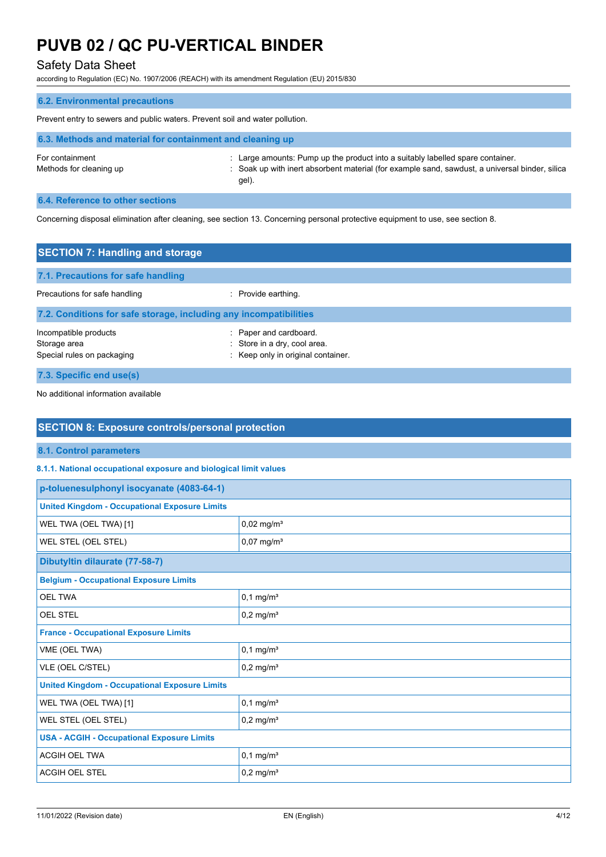# Safety Data Sheet

according to Regulation (EC) No. 1907/2006 (REACH) with its amendment Regulation (EU) 2015/830

# **6.2. Environmental precautions** Prevent entry to sewers and public waters. Prevent soil and water pollution. **6.3. Methods and material for containment and cleaning up** For containment : Large amounts: Pump up the product into a suitably labelled spare container. Methods for cleaning up example same in the soak up with inert absorbent material (for example sand, sawdust, a universal binder, silica gel).

## **6.4. Reference to other sections**

Concerning disposal elimination after cleaning, see section 13. Concerning personal protective equipment to use, see section 8.

| <b>SECTION 7: Handling and storage</b>                              |                                                                                              |  |
|---------------------------------------------------------------------|----------------------------------------------------------------------------------------------|--|
| 7.1. Precautions for safe handling                                  |                                                                                              |  |
| Precautions for safe handling                                       | : Provide earthing.                                                                          |  |
| 7.2. Conditions for safe storage, including any incompatibilities   |                                                                                              |  |
| Incompatible products<br>Storage area<br>Special rules on packaging | : Paper and cardboard.<br>: Store in a dry, cool area.<br>: Keep only in original container. |  |
| 7.3. Specific end use(s)                                            |                                                                                              |  |

No additional information available

| <b>SECTION 8: Exposure controls/personal protection</b>           |                          |  |
|-------------------------------------------------------------------|--------------------------|--|
| 8.1. Control parameters                                           |                          |  |
| 8.1.1. National occupational exposure and biological limit values |                          |  |
| p-toluenesulphonyl isocyanate (4083-64-1)                         |                          |  |
| <b>United Kingdom - Occupational Exposure Limits</b>              |                          |  |
| WEL TWA (OEL TWA) [1]                                             | $0,02$ mg/m <sup>3</sup> |  |
| WEL STEL (OEL STEL)                                               | $0,07$ mg/m <sup>3</sup> |  |
| Dibutyltin dilaurate (77-58-7)                                    |                          |  |
| <b>Belgium - Occupational Exposure Limits</b>                     |                          |  |
| <b>OEL TWA</b>                                                    | $0,1$ mg/m <sup>3</sup>  |  |
| <b>OEL STEL</b>                                                   | $0,2$ mg/m <sup>3</sup>  |  |
| <b>France - Occupational Exposure Limits</b>                      |                          |  |
| VME (OEL TWA)                                                     | $0,1$ mg/m <sup>3</sup>  |  |
| VLE (OEL C/STEL)                                                  | $0,2$ mg/m <sup>3</sup>  |  |
| <b>United Kingdom - Occupational Exposure Limits</b>              |                          |  |
| WEL TWA (OEL TWA) [1]                                             | $0,1$ mg/m <sup>3</sup>  |  |
| WEL STEL (OEL STEL)                                               | $0,2$ mg/m <sup>3</sup>  |  |
| <b>USA - ACGIH - Occupational Exposure Limits</b>                 |                          |  |
| <b>ACGIH OEL TWA</b>                                              | $0,1$ mg/m <sup>3</sup>  |  |
| <b>ACGIH OEL STEL</b>                                             | $0,2$ mg/m <sup>3</sup>  |  |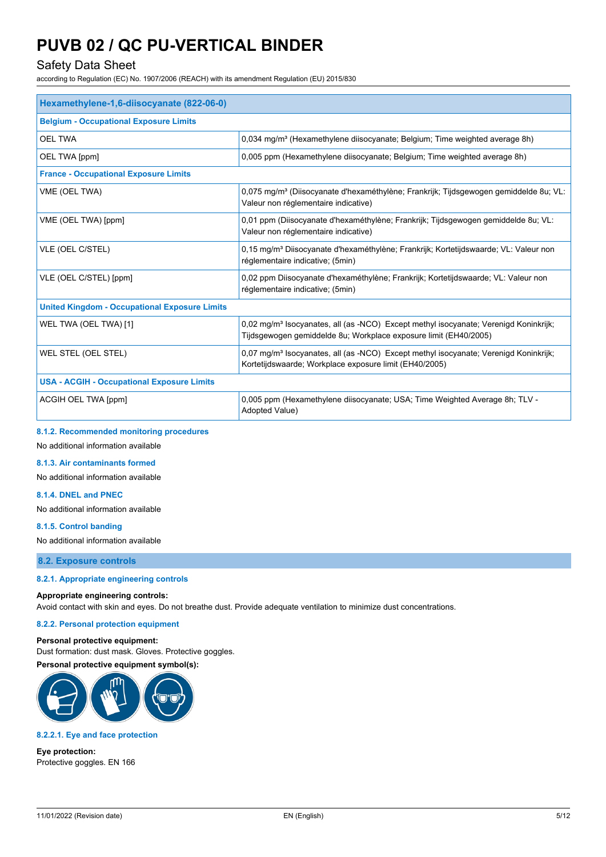# Safety Data Sheet

according to Regulation (EC) No. 1907/2006 (REACH) with its amendment Regulation (EU) 2015/830

| Hexamethylene-1,6-diisocyanate (822-06-0)            |                                                                                                                                                                      |  |
|------------------------------------------------------|----------------------------------------------------------------------------------------------------------------------------------------------------------------------|--|
| <b>Belgium - Occupational Exposure Limits</b>        |                                                                                                                                                                      |  |
| <b>OEL TWA</b>                                       | 0,034 mg/m <sup>3</sup> (Hexamethylene diisocyanate; Belgium; Time weighted average 8h)                                                                              |  |
| OEL TWA [ppm]                                        | 0,005 ppm (Hexamethylene diisocyanate; Belgium; Time weighted average 8h)                                                                                            |  |
| <b>France - Occupational Exposure Limits</b>         |                                                                                                                                                                      |  |
| VME (OEL TWA)                                        | 0,075 mg/m <sup>3</sup> (Diisocyanate d'hexaméthylène; Frankrijk; Tijdsgewogen gemiddelde 8u; VL:<br>Valeur non réglementaire indicative)                            |  |
| VME (OEL TWA) [ppm]                                  | 0,01 ppm (Diisocyanate d'hexaméthylène; Frankrijk; Tijdsgewogen gemiddelde 8u; VL:<br>Valeur non réglementaire indicative)                                           |  |
| VLE (OEL C/STEL)                                     | 0,15 mg/m <sup>3</sup> Diisocyanate d'hexaméthylène; Frankrijk; Kortetijdswaarde; VL: Valeur non<br>réglementaire indicative; (5min)                                 |  |
| VLE (OEL C/STEL) [ppm]                               | 0,02 ppm Diisocyanate d'hexaméthylène; Frankrijk; Kortetijdswaarde; VL: Valeur non<br>réglementaire indicative; (5min)                                               |  |
| <b>United Kingdom - Occupational Exposure Limits</b> |                                                                                                                                                                      |  |
| WEL TWA (OEL TWA) [1]                                | 0,02 mg/m <sup>3</sup> Isocyanates, all (as -NCO) Except methyl isocyanate; Verenigd Koninkrijk;<br>Tijdsgewogen gemiddelde 8u; Workplace exposure limit (EH40/2005) |  |
| WEL STEL (OEL STEL)                                  | 0,07 mg/m <sup>3</sup> Isocyanates, all (as -NCO) Except methyl isocyanate; Verenigd Koninkrijk;<br>Kortetijdswaarde; Workplace exposure limit (EH40/2005)           |  |
| <b>USA - ACGIH - Occupational Exposure Limits</b>    |                                                                                                                                                                      |  |
| ACGIH OEL TWA [ppm]                                  | 0,005 ppm (Hexamethylene diisocyanate; USA; Time Weighted Average 8h; TLV -<br>Adopted Value)                                                                        |  |

### **8.1.2. Recommended monitoring procedures**

No additional information available

**8.1.3. Air contaminants formed**

No additional information available

### **8.1.4. DNEL and PNEC**

No additional information available

#### **8.1.5. Control banding**

No additional information available

**8.2. Exposure controls**

#### **8.2.1. Appropriate engineering controls**

## **Appropriate engineering controls:**

Avoid contact with skin and eyes. Do not breathe dust. Provide adequate ventilation to minimize dust concentrations.

#### **8.2.2. Personal protection equipment**

## **Personal protective equipment:**

Dust formation: dust mask. Gloves. Protective goggles.





## **8.2.2.1. Eye and face protection**

**Eye protection:** Protective goggles. EN 166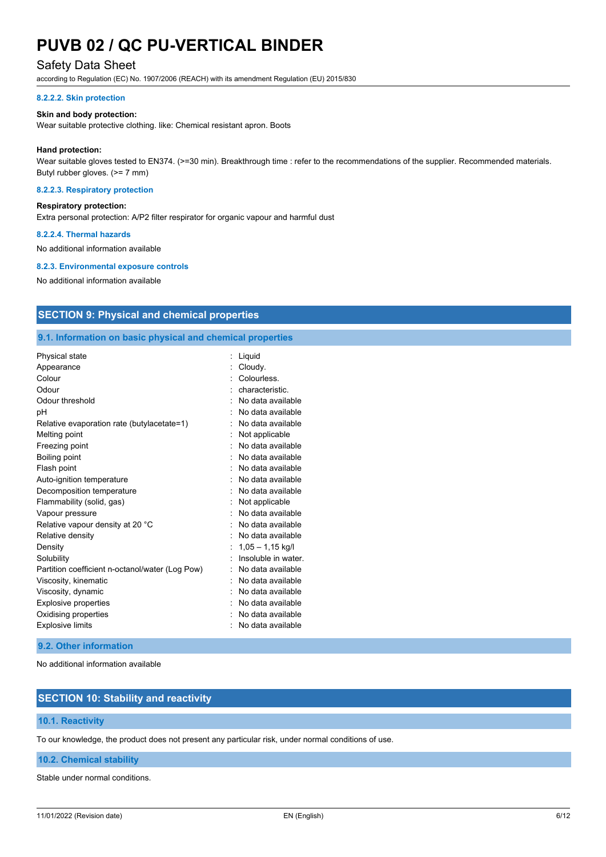# Safety Data Sheet

according to Regulation (EC) No. 1907/2006 (REACH) with its amendment Regulation (EU) 2015/830

#### **8.2.2.2. Skin protection**

#### **Skin and body protection:**

Wear suitable protective clothing. like: Chemical resistant apron. Boots

#### **Hand protection:**

Wear suitable gloves tested to EN374. (>=30 min). Breakthrough time : refer to the recommendations of the supplier. Recommended materials. Butyl rubber gloves. (>= 7 mm)

#### **8.2.2.3. Respiratory protection**

### **Respiratory protection:**

Extra personal protection: A/P2 filter respirator for organic vapour and harmful dust

#### **8.2.2.4. Thermal hazards**

No additional information available

#### **8.2.3. Environmental exposure controls**

No additional information available

# **SECTION 9: Physical and chemical properties**

## **9.1. Information on basic physical and chemical properties**

| Physical state                                  | Liquid              |
|-------------------------------------------------|---------------------|
| Appearance                                      | Cloudy.             |
| Colour                                          | Colourless.         |
| Odour                                           | characteristic.     |
| Odour threshold                                 | No data available   |
| рH                                              | No data available   |
| Relative evaporation rate (butylacetate=1)      | No data available   |
| Melting point                                   | Not applicable      |
| Freezing point                                  | No data available   |
| Boiling point                                   | No data available   |
| Flash point                                     | No data available   |
| Auto-ignition temperature                       | No data available   |
| Decomposition temperature                       | No data available   |
| Flammability (solid, gas)                       | Not applicable      |
| Vapour pressure                                 | No data available   |
| Relative vapour density at 20 °C                | No data available   |
| Relative density                                | No data available   |
| Density                                         | $1,05 - 1,15$ kg/l  |
| Solubility                                      | Insoluble in water. |
| Partition coefficient n-octanol/water (Log Pow) | No data available   |
| Viscosity, kinematic                            | No data available   |
| Viscosity, dynamic                              | No data available   |
| Explosive properties                            | No data available   |
| Oxidising properties                            | No data available   |
| <b>Explosive limits</b>                         | No data available   |

### **9.2. Other information**

No additional information available

# **SECTION 10: Stability and reactivity**

## **10.1. Reactivity**

To our knowledge, the product does not present any particular risk, under normal conditions of use.

#### **10.2. Chemical stability**

Stable under normal conditions.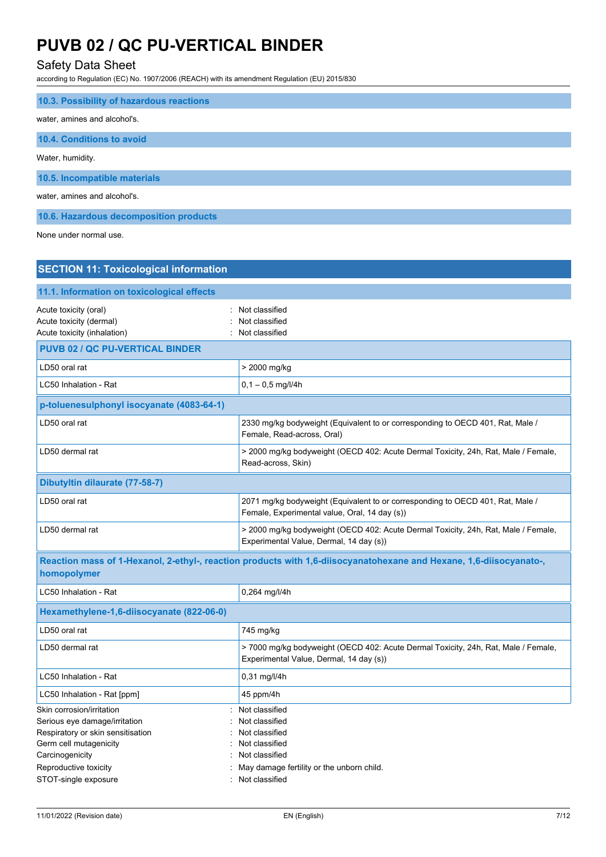# Safety Data Sheet

according to Regulation (EC) No. 1907/2006 (REACH) with its amendment Regulation (EU) 2015/830

| 10.3. Possibility of hazardous reactions |
|------------------------------------------|
| water, amines and alcohol's.             |
| 10.4. Conditions to avoid                |
| Water, humidity.                         |
| 10.5. Incompatible materials             |
| water, amines and alcohol's.             |
| 10.6. Hazardous decomposition products   |

None under normal use.

| : Not classified<br>Not classified<br>: Not classified                                                                                                  |
|---------------------------------------------------------------------------------------------------------------------------------------------------------|
|                                                                                                                                                         |
| > 2000 mg/kg                                                                                                                                            |
| $0,1 - 0,5$ mg/l/4h                                                                                                                                     |
|                                                                                                                                                         |
| 2330 mg/kg bodyweight (Equivalent to or corresponding to OECD 401, Rat, Male /<br>Female, Read-across, Oral)                                            |
| > 2000 mg/kg bodyweight (OECD 402: Acute Dermal Toxicity, 24h, Rat, Male / Female,<br>Read-across, Skin)                                                |
|                                                                                                                                                         |
| 2071 mg/kg bodyweight (Equivalent to or corresponding to OECD 401, Rat, Male /<br>Female, Experimental value, Oral, 14 day (s))                         |
| > 2000 mg/kg bodyweight (OECD 402: Acute Dermal Toxicity, 24h, Rat, Male / Female,<br>Experimental Value, Dermal, 14 day (s))                           |
| Reaction mass of 1-Hexanol, 2-ethyl-, reaction products with 1,6-diisocyanatohexane and Hexane, 1,6-diisocyanato-,                                      |
| 0,264 mg/l/4h                                                                                                                                           |
|                                                                                                                                                         |
| 745 mg/kg                                                                                                                                               |
| > 7000 mg/kg bodyweight (OECD 402: Acute Dermal Toxicity, 24h, Rat, Male / Female,<br>Experimental Value, Dermal, 14 day (s))                           |
| 0,31 mg/l/4h                                                                                                                                            |
| 45 ppm/4h                                                                                                                                               |
| Not classified<br>Not classified<br>Not classified<br>Not classified<br>Not classified<br>May damage fertility or the unborn child.<br>: Not classified |
|                                                                                                                                                         |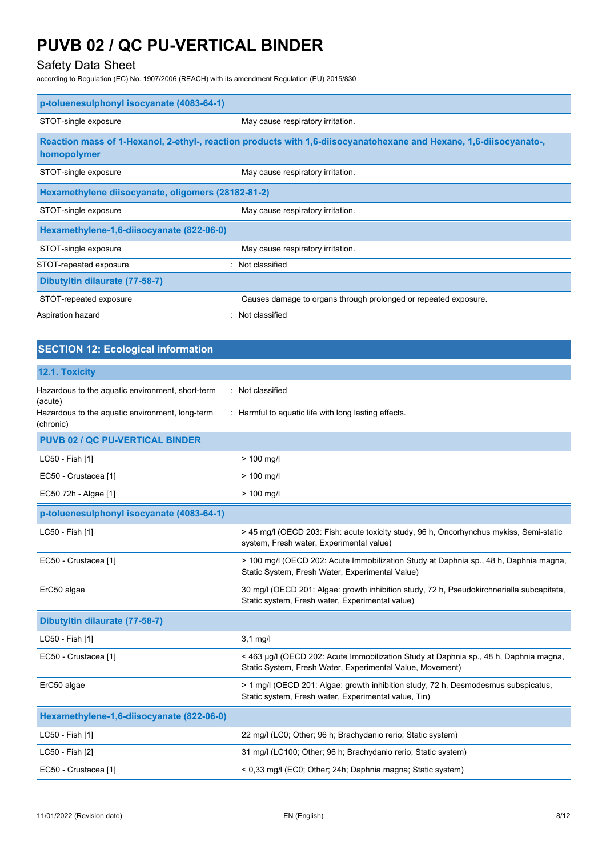# Safety Data Sheet

according to Regulation (EC) No. 1907/2006 (REACH) with its amendment Regulation (EU) 2015/830

| p-toluenesulphonyl isocyanate (4083-64-1)          |                                                                                                                    |  |
|----------------------------------------------------|--------------------------------------------------------------------------------------------------------------------|--|
| STOT-single exposure                               | May cause respiratory irritation.                                                                                  |  |
| homopolymer                                        | Reaction mass of 1-Hexanol, 2-ethyl-, reaction products with 1,6-diisocyanatohexane and Hexane, 1,6-diisocyanato-, |  |
| STOT-single exposure                               | May cause respiratory irritation.                                                                                  |  |
| Hexamethylene diisocyanate, oligomers (28182-81-2) |                                                                                                                    |  |
| STOT-single exposure                               | May cause respiratory irritation.                                                                                  |  |
| Hexamethylene-1,6-diisocyanate (822-06-0)          |                                                                                                                    |  |
| STOT-single exposure                               | May cause respiratory irritation.                                                                                  |  |
| STOT-repeated exposure                             | Not classified                                                                                                     |  |
| Dibutyltin dilaurate (77-58-7)                     |                                                                                                                    |  |
| STOT-repeated exposure                             | Causes damage to organs through prolonged or repeated exposure.                                                    |  |
| Aspiration hazard                                  | Not classified                                                                                                     |  |

# **SECTION 12: Ecological information**

# **12.1. Toxicity**

| Hazardous to the aquatic environment, short-term                        | : Not classified                                                                                                                                   |
|-------------------------------------------------------------------------|----------------------------------------------------------------------------------------------------------------------------------------------------|
| (acute)<br>Hazardous to the aquatic environment, long-term<br>(chronic) | : Harmful to aquatic life with long lasting effects.                                                                                               |
| <b>PUVB 02 / QC PU-VERTICAL BINDER</b>                                  |                                                                                                                                                    |
| LC50 - Fish [1]                                                         | $> 100$ mg/l                                                                                                                                       |
| EC50 - Crustacea [1]                                                    | $> 100$ mg/l                                                                                                                                       |
| EC50 72h - Algae [1]                                                    | $> 100$ mg/l                                                                                                                                       |
| p-toluenesulphonyl isocyanate (4083-64-1)                               |                                                                                                                                                    |
| LC50 - Fish [1]                                                         | > 45 mg/l (OECD 203: Fish: acute toxicity study, 96 h, Oncorhynchus mykiss, Semi-static<br>system, Fresh water, Experimental value)                |
| EC50 - Crustacea [1]                                                    | > 100 mg/l (OECD 202: Acute Immobilization Study at Daphnia sp., 48 h, Daphnia magna,<br>Static System, Fresh Water, Experimental Value)           |
| ErC50 algae                                                             | 30 mg/l (OECD 201: Algae: growth inhibition study, 72 h, Pseudokirchneriella subcapitata,<br>Static system, Fresh water, Experimental value)       |
| Dibutyltin dilaurate (77-58-7)                                          |                                                                                                                                                    |
| LC50 - Fish [1]                                                         | $3.1$ mg/l                                                                                                                                         |
| EC50 - Crustacea [1]                                                    | < 463 µg/l (OECD 202: Acute Immobilization Study at Daphnia sp., 48 h, Daphnia magna,<br>Static System, Fresh Water, Experimental Value, Movement) |
| ErC50 algae                                                             | > 1 mg/l (OECD 201: Algae: growth inhibition study, 72 h, Desmodesmus subspicatus,<br>Static system, Fresh water, Experimental value, Tin)         |
| Hexamethylene-1,6-diisocyanate (822-06-0)                               |                                                                                                                                                    |
| LC50 - Fish [1]                                                         | 22 mg/l (LC0; Other; 96 h; Brachydanio rerio; Static system)                                                                                       |
| LC50 - Fish [2]                                                         | 31 mg/l (LC100; Other; 96 h; Brachydanio rerio; Static system)                                                                                     |
| EC50 - Crustacea [1]                                                    | < 0,33 mg/l (EC0; Other; 24h; Daphnia magna; Static system)                                                                                        |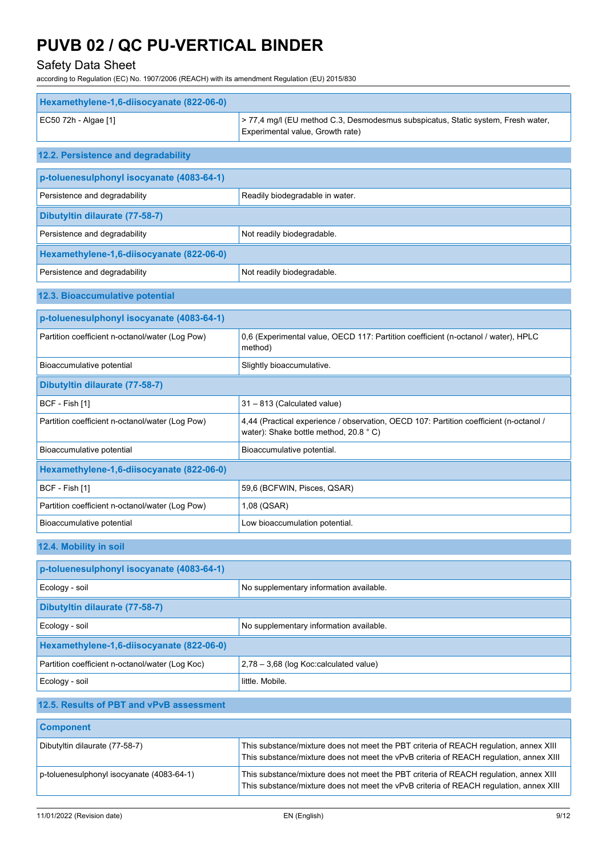# Safety Data Sheet

according to Regulation (EC) No. 1907/2006 (REACH) with its amendment Regulation (EU) 2015/830

| Hexamethylene-1,6-diisocyanate (822-06-0)       |                                                                                                                                                                                 |
|-------------------------------------------------|---------------------------------------------------------------------------------------------------------------------------------------------------------------------------------|
| EC50 72h - Algae [1]                            | > 77,4 mg/l (EU method C.3, Desmodesmus subspicatus, Static system, Fresh water,<br>Experimental value, Growth rate)                                                            |
| 12.2. Persistence and degradability             |                                                                                                                                                                                 |
| p-toluenesulphonyl isocyanate (4083-64-1)       |                                                                                                                                                                                 |
| Persistence and degradability                   | Readily biodegradable in water.                                                                                                                                                 |
| Dibutyltin dilaurate (77-58-7)                  |                                                                                                                                                                                 |
| Persistence and degradability                   | Not readily biodegradable.                                                                                                                                                      |
| Hexamethylene-1,6-diisocyanate (822-06-0)       |                                                                                                                                                                                 |
| Persistence and degradability                   | Not readily biodegradable.                                                                                                                                                      |
| 12.3. Bioaccumulative potential                 |                                                                                                                                                                                 |
| p-toluenesulphonyl isocyanate (4083-64-1)       |                                                                                                                                                                                 |
| Partition coefficient n-octanol/water (Log Pow) | 0,6 (Experimental value, OECD 117: Partition coefficient (n-octanol / water), HPLC<br>method)                                                                                   |
| Bioaccumulative potential                       | Slightly bioaccumulative.                                                                                                                                                       |
| Dibutyltin dilaurate (77-58-7)                  |                                                                                                                                                                                 |
| BCF - Fish [1]                                  | 31 - 813 (Calculated value)                                                                                                                                                     |
| Partition coefficient n-octanol/water (Log Pow) | 4,44 (Practical experience / observation, OECD 107: Partition coefficient (n-octanol /<br>water): Shake bottle method, 20.8 °C)                                                 |
| Bioaccumulative potential                       | Bioaccumulative potential.                                                                                                                                                      |
| Hexamethylene-1,6-diisocyanate (822-06-0)       |                                                                                                                                                                                 |
| BCF - Fish [1]                                  | 59,6 (BCFWIN, Pisces, QSAR)                                                                                                                                                     |
| Partition coefficient n-octanol/water (Log Pow) | 1,08 (QSAR)                                                                                                                                                                     |
| Bioaccumulative potential                       | Low bioaccumulation potential.                                                                                                                                                  |
| 12.4. Mobility in soil                          |                                                                                                                                                                                 |
| p-toluenesulphonyl isocyanate (4083-64-1)       |                                                                                                                                                                                 |
| Ecology - soil                                  | No supplementary information available.                                                                                                                                         |
| Dibutyltin dilaurate (77-58-7)                  |                                                                                                                                                                                 |
| Ecology - soil                                  | No supplementary information available.                                                                                                                                         |
| Hexamethylene-1,6-diisocyanate (822-06-0)       |                                                                                                                                                                                 |
| Partition coefficient n-octanol/water (Log Koc) | 2,78 - 3,68 (log Koc:calculated value)                                                                                                                                          |
| Ecology - soil                                  | little. Mobile.                                                                                                                                                                 |
| 12.5. Results of PBT and vPvB assessment        |                                                                                                                                                                                 |
| <b>Component</b>                                |                                                                                                                                                                                 |
| Dibutyltin dilaurate (77-58-7)                  | This substance/mixture does not meet the PBT criteria of REACH regulation, annex XIII<br>This substance/mixture does not meet the vPvB criteria of REACH regulation, annex XIII |
| p-toluenesulphonyl isocyanate (4083-64-1)       | This substance/mixture does not meet the PBT criteria of REACH regulation, annex XIII<br>This substance/mixture does not meet the vPvB criteria of REACH regulation, annex XIII |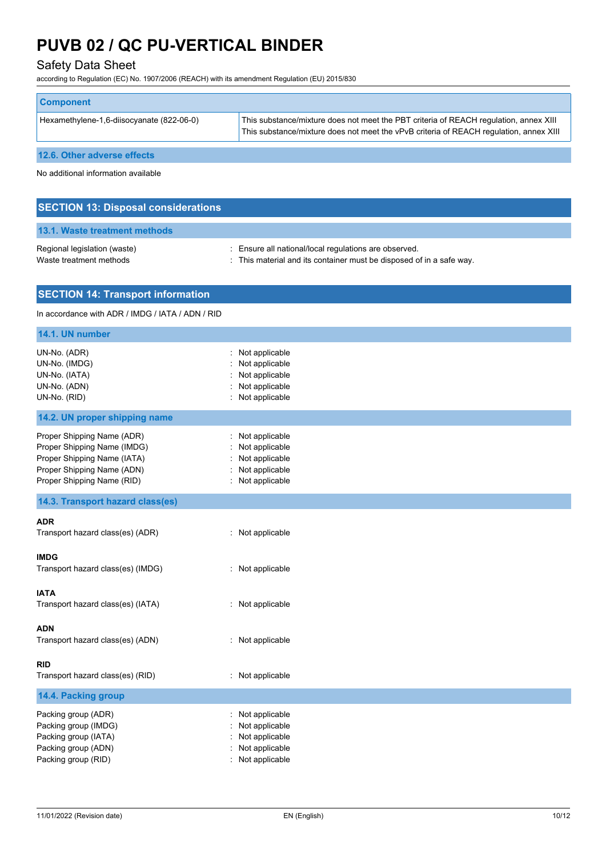# Safety Data Sheet

according to Regulation (EC) No. 1907/2006 (REACH) with its amendment Regulation (EU) 2015/830

| <b>Component</b>                          |                                                                                                                                                                                 |
|-------------------------------------------|---------------------------------------------------------------------------------------------------------------------------------------------------------------------------------|
| Hexamethylene-1,6-diisocyanate (822-06-0) | This substance/mixture does not meet the PBT criteria of REACH regulation, annex XIII<br>This substance/mixture does not meet the vPvB criteria of REACH regulation, annex XIII |
| 12.6. Other adverse effects               |                                                                                                                                                                                 |

No additional information available

| <b>SECTION 13: Disposal considerations</b>              |                                                                                                                               |
|---------------------------------------------------------|-------------------------------------------------------------------------------------------------------------------------------|
| 13.1. Waste treatment methods                           |                                                                                                                               |
| Regional legislation (waste)<br>Waste treatment methods | : Ensure all national/local regulations are observed.<br>: This material and its container must be disposed of in a safe way. |

# **SECTION 14: Transport information**

#### In accordance with ADR / IMDG / IATA / ADN / RID

| 14.1. UN number                                                                                                                                      |                                                                                                     |
|------------------------------------------------------------------------------------------------------------------------------------------------------|-----------------------------------------------------------------------------------------------------|
| UN-No. (ADR)<br>UN-No. (IMDG)<br>UN-No. (IATA)<br>UN-No. (ADN)<br>UN-No. (RID)                                                                       | Not applicable<br>Not applicable<br>Not applicable<br>Not applicable<br>Not applicable<br>$\bullet$ |
| 14.2. UN proper shipping name                                                                                                                        |                                                                                                     |
| Proper Shipping Name (ADR)<br>Proper Shipping Name (IMDG)<br>Proper Shipping Name (IATA)<br>Proper Shipping Name (ADN)<br>Proper Shipping Name (RID) | : Not applicable<br>Not applicable<br>Not applicable<br>Not applicable<br>: Not applicable          |
| 14.3. Transport hazard class(es)                                                                                                                     |                                                                                                     |
| ADR<br>Transport hazard class(es) (ADR)                                                                                                              | : Not applicable                                                                                    |
| <b>IMDG</b><br>Transport hazard class(es) (IMDG)                                                                                                     | : Not applicable                                                                                    |
| <b>IATA</b><br>Transport hazard class(es) (IATA)                                                                                                     | : Not applicable                                                                                    |
| <b>ADN</b><br>Transport hazard class(es) (ADN)                                                                                                       | : Not applicable                                                                                    |
| RID<br>Transport hazard class(es) (RID)                                                                                                              | : Not applicable                                                                                    |
| 14.4. Packing group                                                                                                                                  |                                                                                                     |
| Packing group (ADR)<br>Packing group (IMDG)<br>Packing group (IATA)<br>Packing group (ADN)<br>Packing group (RID)                                    | Not applicable<br>Not applicable<br>Not applicable<br>Not applicable<br>: Not applicable            |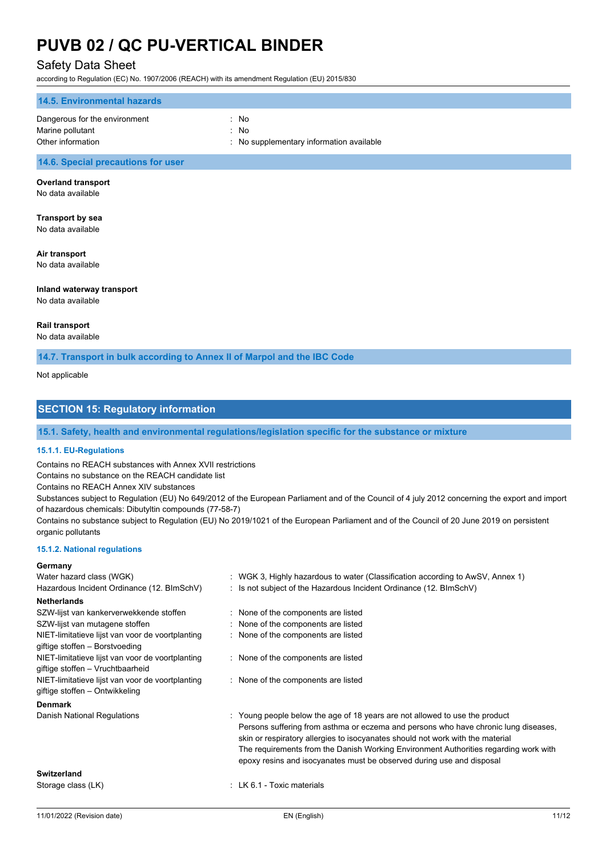# Safety Data Sheet

according to Regulation (EC) No. 1907/2006 (REACH) with its amendment Regulation (EU) 2015/830

| <b>14.5. Environmental hazards</b> |                                          |
|------------------------------------|------------------------------------------|
| Dangerous for the environment      | : No                                     |
| Marine pollutant                   | : No                                     |
| Other information                  | : No supplementary information available |

# **14.6. Special precautions for user**

### **Overland transport**

No data available

# **Transport by sea**

No data available

#### **Air transport**

No data available

### **Inland waterway transport**

No data available

#### **Rail transport**

No data available

**14.7. Transport in bulk according to Annex II of Marpol and the IBC Code**

Not applicable

# **SECTION 15: Regulatory information**

# **15.1. Safety, health and environmental regulations/legislation specific for the substance or mixture**

### **15.1.1. EU-Regulations**

Contains no REACH substances with Annex XVII restrictions

Contains no substance on the REACH candidate list

Contains no REACH Annex XIV substances

Substances subject to Regulation (EU) No 649/2012 of the European Parliament and of the Council of 4 july 2012 concerning the export and import of hazardous chemicals: Dibutyltin compounds (77-58-7)

Contains no substance subject to Regulation (EU) No 2019/1021 of the European Parliament and of the Council of 20 June 2019 on persistent organic pollutants

#### **15.1.2. National regulations**

#### **Germany**

| Water hazard class (WGK)                                                             | : WGK 3, Highly hazardous to water (Classification according to AwSV, Annex 1)                                                                                                                                                                                                                                                                                                                                        |
|--------------------------------------------------------------------------------------|-----------------------------------------------------------------------------------------------------------------------------------------------------------------------------------------------------------------------------------------------------------------------------------------------------------------------------------------------------------------------------------------------------------------------|
| Hazardous Incident Ordinance (12. BImSchV)                                           | : Is not subject of the Hazardous Incident Ordinance (12. BImSchV)                                                                                                                                                                                                                                                                                                                                                    |
| <b>Netherlands</b>                                                                   |                                                                                                                                                                                                                                                                                                                                                                                                                       |
| SZW-lijst van kankerverwekkende stoffen                                              | : None of the components are listed                                                                                                                                                                                                                                                                                                                                                                                   |
| SZW-lijst van mutagene stoffen                                                       | : None of the components are listed                                                                                                                                                                                                                                                                                                                                                                                   |
| NIET-limitatieve lijst van voor de voortplanting<br>giftige stoffen – Borstvoeding   | : None of the components are listed                                                                                                                                                                                                                                                                                                                                                                                   |
| NIET-limitatieve lijst van voor de voortplanting<br>giftige stoffen - Vruchtbaarheid | : None of the components are listed                                                                                                                                                                                                                                                                                                                                                                                   |
| NIET-limitatieve lijst van voor de voortplanting<br>giftige stoffen – Ontwikkeling   | : None of the components are listed                                                                                                                                                                                                                                                                                                                                                                                   |
| <b>Denmark</b>                                                                       |                                                                                                                                                                                                                                                                                                                                                                                                                       |
| Danish National Regulations                                                          | : Young people below the age of 18 years are not allowed to use the product<br>Persons suffering from asthma or eczema and persons who have chronic lung diseases,<br>skin or respiratory allergies to isocyanates should not work with the material<br>The requirements from the Danish Working Environment Authorities regarding work with<br>epoxy resins and isocyanates must be observed during use and disposal |
| <b>Switzerland</b>                                                                   |                                                                                                                                                                                                                                                                                                                                                                                                                       |
| Storage class (LK)                                                                   | : LK 6.1 - Toxic materials                                                                                                                                                                                                                                                                                                                                                                                            |
|                                                                                      |                                                                                                                                                                                                                                                                                                                                                                                                                       |